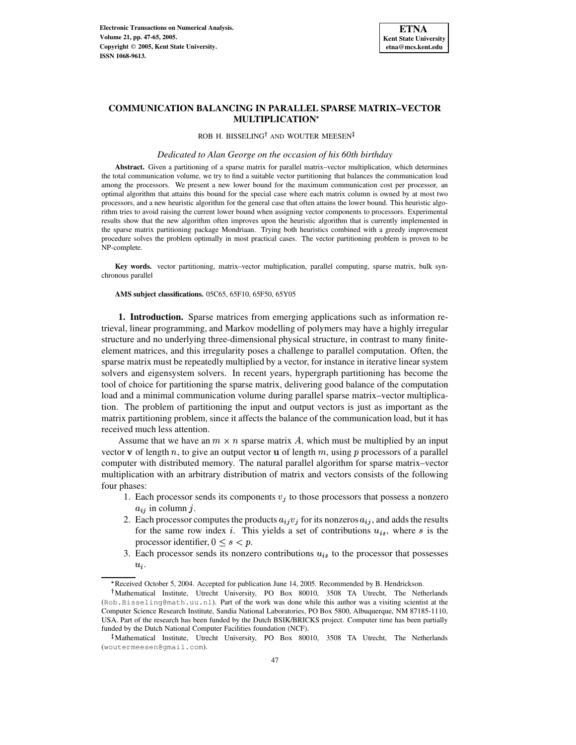

# **COMMUNICATION BALANCING IN PARALLEL SPARSE MATRIX–VECTOR MULTIPLICATION**

ROB H. BISSELING<sup>†</sup> AND WOUTER MEESEN

## *Dedicated to Alan George on the occasion of his 60th birthday*

**Abstract.** Given a partitioning of a sparse matrix for parallel matrix–vector multiplication, which determines the total communication volume, we try to find a suitable vector partitioning that balances the communication load among the processors. We present a new lower bound for the maximum communication cost per processor, an optimal algorithm that attains this bound for the special case where each matrix column is owned by at most two processors, and a new heuristic algorithm for the general case that often attains the lower bound. This heuristic algorithm tries to avoid raising the current lower bound when assigning vector components to processors. Experimental results show that the new algorithm often improves upon the heuristic algorithm that is currently implemented in the sparse matrix partitioning package Mondriaan. Trying both heuristics combined with a greedy improvement procedure solves the problem optimally in most practical cases. The vector partitioning problem is proven to be NP-complete.

**Key words.** vector partitioning, matrix–vector multiplication, parallel computing, sparse matrix, bulk synchronous parallel

**AMS subject classifications.** 05C65, 65F10, 65F50, 65Y05

**1. Introduction.** Sparse matrices from emerging applications such as information retrieval, linear programming, and Markov modelling of polymers may have a highly irregular structure and no underlying three-dimensional physical structure, in contrast to many finiteelement matrices, and this irregularity poses a challenge to parallel computation. Often, the sparse matrix must be repeatedly multiplied by a vector, for instance in iterative linear system solvers and eigensystem solvers. In recent years, hypergraph partitioning has become the tool of choice for partitioning the sparse matrix, delivering good balance of the computation load and a minimal communication volume during parallel sparse matrix–vector multiplication. The problem of partitioning the input and output vectors is just as important as the matrix partitioning problem, since it affects the balance of the communication load, but it has received much less attention.

Assume that we have an  $m \times n$  sparse matrix A, which must be multiplied by an input vector **v** of length  $n$ , to give an output vector **u** of length  $m$ , using  $p$  processors of a parallel computer with distributed memory. The natural parallel algorithm for sparse matrix–vector multiplication with an arbitrary distribution of matrix and vectors consists of the following four phases:

- 1. Each processor sends its components  $v_i$  to those processors that possess a nonzero  $a_{ij}$  in column j.
- 2. Each processor computes the products  $a_{ij}v_j$  for its nonzeros  $a_{ij}$ , and adds the results for the same row index *i*. This yields a set of contributions  $u_{is}$ , where *s* is the processor identifier,  $0 \leq s \leq p$ .
- 3. Each processor sends its nonzero contributions  $u_{is}$  to the processor that possesses  $\sim$   $\sim$   $\sim$ .

<sup>&</sup>quot; Received October 5, 2004. Accepted for publication June 14, 2005. Recommended by B. Hendrickson.

Mathematical Institute, Utrecht University, PO Box 80010, 3508 TA Utrecht, The Netherlands (Rob.Bisseling@math.uu.nl). Part of the work was done while this author was a visiting scientist at the Computer Science Research Institute, Sandia National Laboratories, PO Box 5800, Albuquerque, NM 87185-1110, USA. Part of the research has been funded by the Dutch BSIK/BRICKS project. Computer time has been partially funded by the Dutch National Computer Facilities foundation (NCF).

<sup>-</sup> Mathematical Institute, Utrecht University, PO Box 80010, 3508 TA Utrecht, The Netherlands (woutermeesen@gmail.com).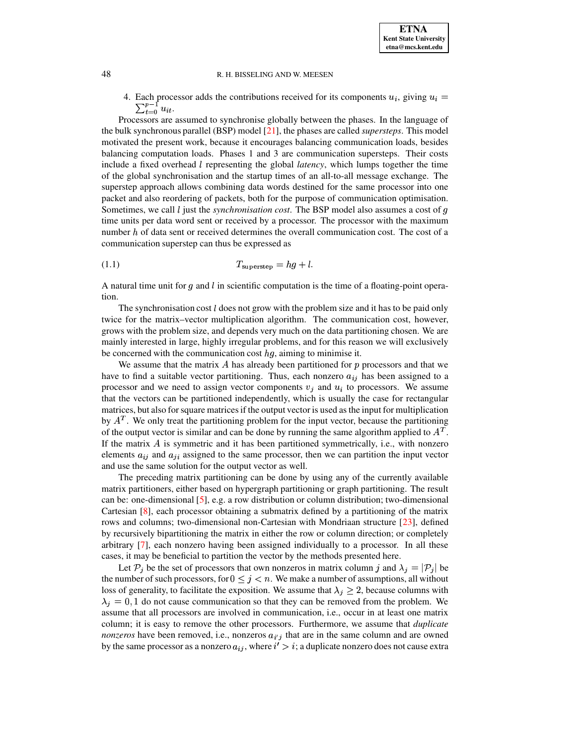4. Each processor adds the contributions received for its components  $u_i$ , giving  $u_i =$  $\sum_{t=0}^{p-1} u_{it}.$ 

Processors are assumed to synchronise globally between the phases. In the language of the bulk synchronous parallel (BSP) model [\[21\]](#page-18-0), the phases are called *supersteps*. This model motivated the present work, because it encourages balancing communication loads, besides balancing computation loads. Phases 1 and 3 are communication supersteps. Their costs include a fixed overhead <sup>1</sup> representing the global *latency*, which lumps together the time of the global synchronisation and the startup times of an all-to-all message exchange. The superstep approach allows combining data words destined for the same processor into one packet and also reordering of packets, both for the purpose of communication optimisation. Sometimes, we call *l* just the *synchronisation cost*. The BSP model also assumes a cost of q time units per data word sent or received by a processor. The processor with the maximum number  $h$  of data sent or received determines the overall communication cost. The cost of a communication superstep can thus be expressed as

$$
(1.1) \t\t T_{\text{superstep}} = hg + l.
$$

A natural time unit for  $q$  and  $l$  in scientific computation is the time of a floating-point operation.

The synchronisation cost  $l$  does not grow with the problem size and it has to be paid only twice for the matrix–vector multiplication algorithm. The communication cost, however, grows with the problem size, and depends very much on the data partitioning chosen. We are mainly interested in large, highly irregular problems, and for this reason we will exclusively be concerned with the communication cost  $hg$ , aiming to minimise it.

We assume that the matrix  $A$  has already been partitioned for  $p$  processors and that we have to find a suitable vector partitioning. Thus, each nonzero  $a_{ij}$  has been assigned to a processor and we need to assign vector components  $v_i$  and  $u_i$  to processors. We assume that the vectors can be partitioned independently, which is usually the case for rectangular matrices, but also forsquare matricesif the output vector is used as the input for multiplication by  $A<sup>T</sup>$ . We only treat the partitioning problem for the input vector, because the partitioning of the output vector is similar and can be done by running the same algorithm applied to  $A<sup>T</sup>$ . If the matrix  $\vec{A}$  is symmetric and it has been partitioned symmetrically, i.e., with nonzero elements  $a_{ij}$  and  $a_{ji}$  assigned to the same processor, then we can partition the input vector and use the same solution for the output vector as well.

The preceding matrix partitioning can be done by using any of the currently available matrix partitioners, either based on hypergraph partitioning or graph partitioning. The result can be: one-dimensional [\[5\]](#page-18-1), e.g. a row distribution or column distribution; two-dimensional Cartesian [\[8\]](#page-18-2), each processor obtaining a submatrix defined by a partitioning of the matrix rows and columns; two-dimensional non-Cartesian with Mondriaan structure [\[23\]](#page-18-3), defined by recursively bipartitioning the matrix in either the row or column direction; or completely arbitrary [\[7\]](#page-18-4), each nonzero having been assigned individually to a processor. In all these cases, it may be beneficial to partition the vector by the methods presented here.

Let  $P_j$  be the set of processors that own nonzeros in matrix column j and  $\lambda_j = |P_j|$  be the number of such processors, for  $0 \leq j \leq n$ . We make a number of assumptions, all without loss of generality, to facilitate the exposition. We assume that  $\lambda_j \geq 2$ , because columns with  $\lambda_i = 0, 1$  do not cause communication so that they can be removed from the problem. We assume that all processors are involved in communication, i.e., occur in at least one matrix column; it is easy to remove the other processors. Furthermore, we assume that *duplicate nonzeros* have been removed, i.e., nonzeros  $a_{i'j}$  that are in the same column and are owned by the same processor as a nonzero  $a_{ij}$ , where  $i' > i$ ; a duplicate nonzero does not cause extra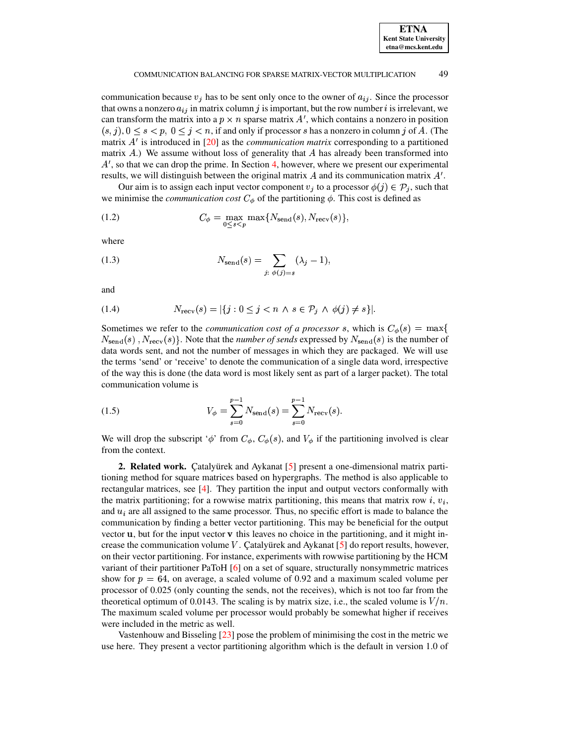communication because  $v_j$  has to be sent only once to the owner of  $a_{ij}$ . Since the processor that owns a nonzero  $a_{ij}$  in matrix column j is important, but the row number i is irrelevant, we can transform the matrix into a  $p \times n$  sparse matrix  $A'$ , which contains a nonzero in position  $(s, j)$ ,  $0 \le s < p$ ,  $0 \le j < n$ , if and only if processor *s* has a nonzero in column *j* of *A*. (The matrix  $A'$  is introduced in  $[20]$  as the *communication matrix* corresponding to a partitioned matrix  $A$ .) We assume without loss of generality that  $A$  has already been transformed into  $A'$ , so that we can drop the prime. In Section [4,](#page-10-0) however, where we present our experimental results, we will distinguish between the original matrix  $A$  and its communication matrix  $A'$ .

Our aim is to assign each input vector component  $v_i$  to a processor  $\phi(j) \in \mathcal{P}_i$ , such that we minimise the *communication cost*  $C_{\phi}$  of the partitioning  $\phi$ . This cost is defined as

(1.2) 
$$
C_{\phi} = \max_{0 \leq s < p} \max\{N_{\text{send}}(s), N_{\text{recv}}(s)\},
$$

where

(1.3) 
$$
N_{\text{send}}(s) = \sum_{j:\ \phi(j)=s} (\lambda_j - 1),
$$

and

$$
(1.4) \qquad \qquad N_{\text{recv}}(s) = |\{j : 0 \le j < n \land s \in \mathcal{P}_j \land \phi(j) \ne s\}|.
$$

Sometimes we refer to the *communication cost of a processor s*, which is  $C_{\phi}(s) = \max\{$  $N_{\text{send}}(s)$ ,  $N_{\text{recv}}(s)$ . Note that the *number of sends* expressed by  $N_{\text{send}}(s)$  is the number of data words sent, and not the number of messages in which they are packaged. We will use the terms 'send' or 'receive' to denote the communication of a single data word, irrespective of the way this is done (the data word is most likely sent as part of a larger packet). The total communication volume is

(1.5) 
$$
V_{\phi} = \sum_{s=0}^{p-1} N_{\text{send}}(s) = \sum_{s=0}^{p-1} N_{\text{recv}}(s).
$$

We will drop the subscript ' $\phi'$  from  $C_{\phi}$ ,  $C_{\phi}(s)$ , and  $V_{\phi}$  if the partitioning involved is clear from the context.

<span id="page-2-0"></span>**2. Related work.** Catalyurek and Aykanat [\[5\]](#page-18-1) present a one-dimensional matrix partitioning method for square matrices based on hypergraphs. The method is also applicable to rectangular matrices, see [\[4\]](#page-18-6). They partition the input and output vectors conformally with the matrix partitioning; for a rowwise matrix partitioning, this means that matrix row  $i, v_i$ , and  $u_i$  are all assigned to the same processor. Thus, no specific effort is made to balance the communication by finding a better vector partitioning. This may be beneficial for the output vector  $\bf{u}$ , but for the input vector  $\bf{v}$  this leaves no choice in the partitioning, and it might increase the communication volume  $V$ . Çatalyürek and Aykanat [\[5\]](#page-18-1) do report results, however, on their vector partitioning. For instance, experiments with rowwise partitioning by the HCM variant of their partitioner PaToH [\[6\]](#page-18-7) on a set of square, structurally nonsymmetric matrices show for  $p = 64$ , on average, a scaled volume of 0.92 and a maximum scaled volume per processor of 0.025 (only counting the sends, not the receives), which is not too far from the theoretical optimum of 0.0143. The scaling is by matrix size, i.e., the scaled volume is  $V/n$ . The maximum scaled volume per processor would probably be somewhat higher if receives were included in the metric as well.

Vastenhouw and Bisseling [\[23\]](#page-18-3) pose the problem of minimising the cost in the metric we use here. They present a vector partitioning algorithm which is the default in version 1.0 of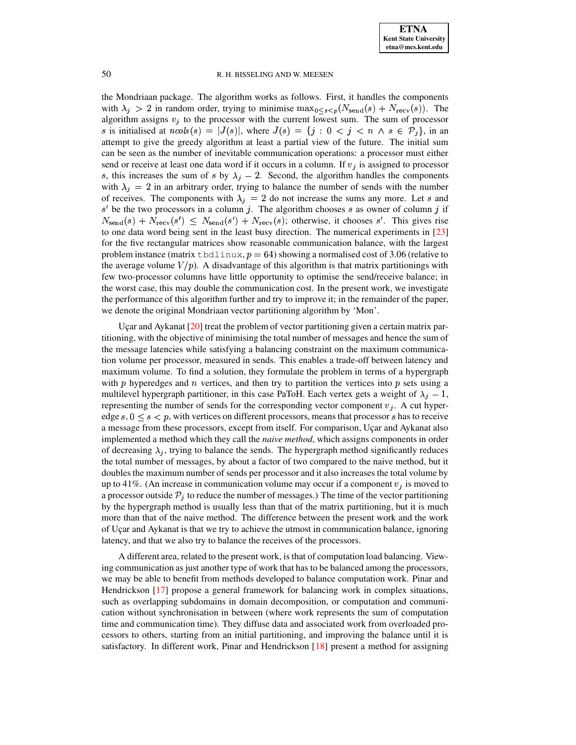the Mondriaan package. The algorithm works as follows. First, it handles the components with  $\lambda_i > 2$  in random order, trying to minimise  $\max_{0 \le s \le p} (N_{\text{send}}(s) + N_{\text{recv}}(s))$ . The algorithm assigns  $v_j$  to the processor with the current lowest sum. The sum of processor is initialised at  $ncols(s) = |J(s)|$ , where  $J(s) = \{j : 0 \le j \le n \land s \in \mathcal{P}_j\}$ , in an attempt to give the greedy algorithm at least a partial view of the future. The initial sum can be seen as the number of inevitable communication operations: a processor must either send or receive at least one data word if it occurs in a column. If  $v_j$  is assigned to processor s, this increases the sum of s by  $\lambda_i - 2$ . Second, the algorithm handles the components with  $\lambda_i = 2$  in an arbitrary order, trying to balance the number of sends with the number of receives. The components with  $\lambda_i = 2$  do not increase the sums any more. Let s and  $s'$  be the two processors in a column j. The algorithm chooses s as owner of column j if  $N_{\text{send}}(s) + N_{\text{recv}}(s') \leq N_{\text{send}}(s') + N_{\text{recv}}(s)$ ; otherwise, it chooses s'. This gives rise to one data word being sent in the least busy direction. The numerical experiments in [\[23\]](#page-18-3) for the five rectangular matrices show reasonable communication balance, with the largest problem instance (matrix tbdlinux,  $p = 64$ ) showing a normalised cost of 3.06 (relative to the average volume  $V/p$ . A disadvantage of this algorithm is that matrix partitionings with few two-processor columns have little opportunity to optimise the send/receive balance; in the worst case, this may double the communication cost. In the present work, we investigate the performance of this algorithm further and try to improve it; in the remainder of the paper, we denote the original Mondriaan vector partitioning algorithm by 'Mon'.

Uçar and Aykanat  $[20]$  treat the problem of vector partitioning given a certain matrix partitioning, with the objective of minimising the total number of messages and hence the sum of the message latencies while satisfying a balancing constraint on the maximum communication volume per processor, measured in sends. This enables a trade-off between latency and maximum volume. To find a solution, they formulate the problem in terms of a hypergraph with  $p$  hyperedges and  $n$  vertices, and then try to partition the vertices into  $p$  sets using a multilevel hypergraph partitioner, in this case PaToH. Each vertex gets a weight of  $\lambda_i - 1$ , representing the number of sends for the corresponding vector component  $v_j$ . A cut hyperedge  $s, 0 \leq s \leq p$ , with vertices on different processors, means that processor s has to receive a message from these processors, except from itself. For comparison, Uçar and Aykanat also implemented a method which they call the *naive method*, which assigns components in order of decreasing  $\lambda_i$ , trying to balance the sends. The hypergraph method significantly reduces the total number of messages, by about a factor of two compared to the naive method, but it doubles the maximum number of sends per processor and it also increases the total volume by up to 41%. (An increase in communication volume may occur if a component  $v_i$  is moved to a processor outside  $P_j$  to reduce the number of messages.) The time of the vector partitioning by the hypergraph method is usually less than that of the matrix partitioning, but it is much more than that of the naive method. The difference between the present work and the work of Uçar and Aykanat is that we try to achieve the utmost in communication balance, ignoring latency, and that we also try to balance the receives of the processors.

A different area, related to the present work, is that of computation load balancing. Viewing communication as just another type of work that has to be balanced among the processors, we may be able to benefit from methods developed to balance computation work. Pinar and Hendrickson [\[17\]](#page-18-8) propose a general framework for balancing work in complex situations, such as overlapping subdomains in domain decomposition, or computation and communication without synchronisation in between (where work represents the sum of computation time and communication time). They diffuse data and associated work from overloaded processors to others, starting from an initial partitioning, and improving the balance until it is satisfactory. In different work, Pinar and Hendrickson [\[18\]](#page-18-9) present a method for assigning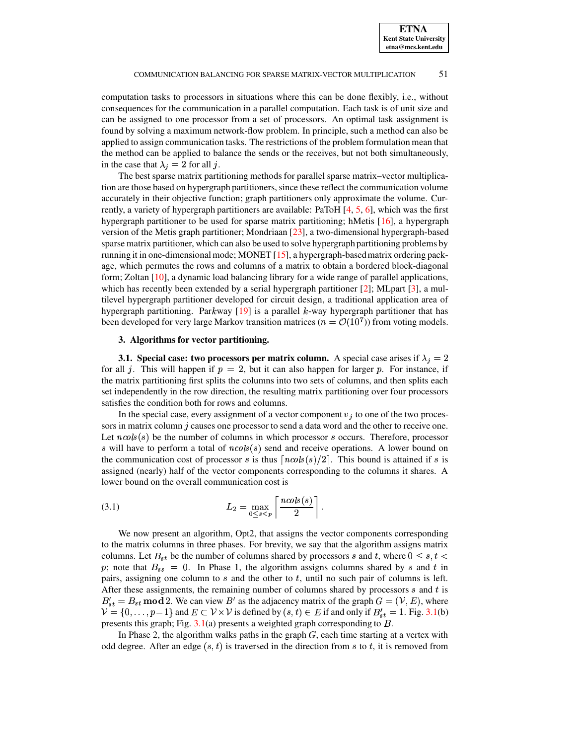computation tasks to processors in situations where this can be done flexibly, i.e., without consequences for the communication in a parallel computation. Each task is of unit size and can be assigned to one processor from a set of processors. An optimal task assignment is found by solving a maximum network-flow problem. In principle, such a method can also be applied to assign communication tasks. The restrictions of the problem formulation mean that the method can be applied to balance the sends or the receives, but not both simultaneously, in the case that  $\lambda_j = 2$  for all j.

The best sparse matrix partitioning methods for parallel sparse matrix–vector multiplication are those based on hypergraph partitioners, since these reflect the communication volume accurately in their objective function; graph partitioners only approximate the volume. Currently, a variety of hypergraph partitioners are available: PaToH [\[4,](#page-18-6) [5,](#page-18-1) [6\]](#page-18-7), which was the first hypergraph partitioner to be used for sparse matrix partitioning; hMetis [\[16\]](#page-18-10), a hypergraph version of the Metis graph partitioner; Mondriaan [\[23\]](#page-18-3), a two-dimensional hypergraph-based sparse matrix partitioner, which can also be used to solve hypergraph partitioning problems by running it in one-dimensionalmode; MONET [\[15\]](#page-18-11), a hypergraph-basedmatrix ordering package, which permutes the rows and columns of a matrix to obtain a bordered block-diagonal form; Zoltan [\[10\]](#page-18-12), a dynamic load balancing library for a wide range of parallel applications, which has recently been extended by a serial hypergraph partitioner  $[2]$ ; MLpart  $[3]$ , a multilevel hypergraph partitioner developed for circuit design, a traditional application area of hypergraph partitioning. Parkway  $[19]$  is a parallel k-way hypergraph partitioner that has been developed for very large Markov transition matrices ( $n = \mathcal{O}(10^7)$ ) from voting models.

## **3. Algorithms for vector partitioning.**

<span id="page-4-0"></span>**3.1.** Special case: two processors per matrix column. A special case arises if  $\lambda_j = 2$ for all j. This will happen if  $p = 2$ , but it can also happen for larger p. For instance, if the matrix partitioning first splits the columns into two sets of columns, and then splits each set independently in the row direction, the resulting matrix partitioning over four processors satisfies the condition both for rows and columns.

In the special case, every assignment of a vector component  $v_j$  to one of the two processors in matrix column  $j$  causes one processor to send a data word and the other to receive one. Let  $ncols(s)$  be the number of columns in which processor s occurs. Therefore, processor s will have to perform a total of  $ncols(s)$  send and receive operations. A lower bound on the communication cost of processor s is thus  $\lceil n \cosh(s)/2 \rceil$ . This bound is attained if s is assigned (nearly) half of the vector components corresponding to the columns it shares. A lower bound on the overall communication cost is

(3.1) 
$$
L_2 = \max_{0 \le s < p} \left[ \frac{n \cosh(s)}{2} \right].
$$

We now present an algorithm, Opt2, that assigns the vector components corresponding to the matrix columns in three phases. For brevity, we say that the algorithm assigns matrix columns. Let  $B_{st}$  be the number of columns shared by processors s and t, where  $0 \leq s, t$ p; note that  $B_{ss} = 0$ . In Phase 1, the algorithm assigns columns shared by s and t in pairs, assigning one column to  $s$  and the other to  $t$ , until no such pair of columns is left. After these assignments, the remaining number of columns shared by processors  $s$  and  $t$  is  $B'_{st} = B_{st} \text{ mod } 2$ . We can view  $B'$  as the adjacency matrix of the graph  $G = (V, E)$ , where  $\mathcal{V} = \{0, \ldots, p-1\}$  and  $E \subset \mathcal{V} \times \mathcal{V}$  is defined by  $(s, t) \in E$  if and only if  $B'_{st} = 1$ . Fig. [3.1\(](#page-5-0)b) presents this graph; Fig.  $3.1(a)$  $3.1(a)$  presents a weighted graph corresponding to  $B$ .

In Phase 2, the algorithm walks paths in the graph  $G$ , each time starting at a vertex with odd degree. After an edge  $(s, t)$  is traversed in the direction from s to t, it is removed from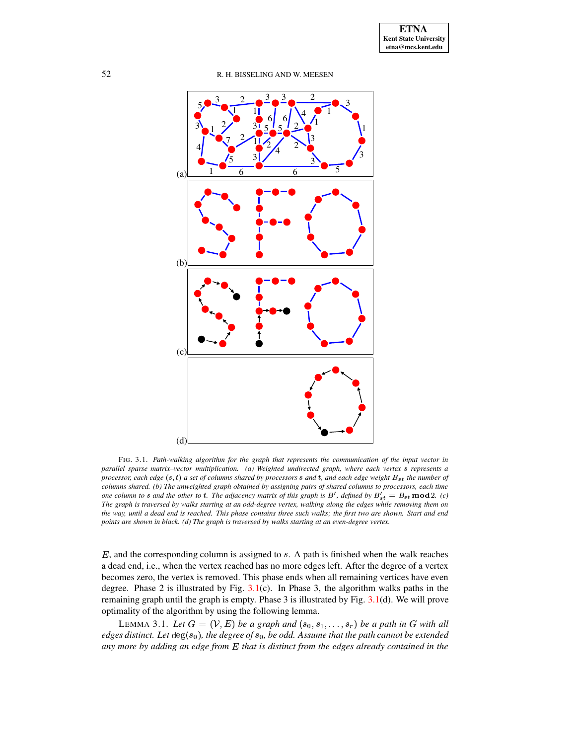

<span id="page-5-0"></span>FIG. 3.1. *Path-walking algorithm for the graph that represents the communication of the input vector in parallel sparse matrix–vector multiplication. (a) Weighted undirected graph, where each vertex* <sup>¾</sup> *represents a* processor, each edge  $(s, t)$  a set of columns shared by processors s and t, and each edge weight  $B_{st}$  the number of columns shared. (b) The unweighted graph obtained by assigning pairs of shared columns to processors, each time one column to s and the other to t. The adjacency matrix of this graph is  $B'$ , defined by  $B'_{st} = B_{st} \mod 2$ . (c) The graph is traversed by walks starting at an odd-degree vertex, walking along the edges while removing them on the way, until a dead end is reached. This phase contains three such walks; the first two are shown. Start and end *points are shown in black. (d) The graph is traversed by walks starting at an even-degree vertex.*

 $E$ , and the corresponding column is assigned to  $s$ . A path is finished when the walk reaches a dead end, i.e., when the vertex reached has no more edges left. After the degree of a vertex becomes zero, the vertex is removed. This phase ends when all remaining vertices have even degree. Phase 2 is illustrated by Fig.  $3.1(c)$  $3.1(c)$ . In Phase 3, the algorithm walks paths in the remaining graph until the graph is empty. Phase 3 is illustrated by Fig. [3.1\(](#page-5-0)d). We will prove optimality of the algorithm by using the following lemma.

<span id="page-5-1"></span>LEMMA 3.1. Let  $G = (V, E)$  be a graph and  $(s_0, s_1, \ldots, s_r)$  be a path in G with all  $edges$  *distinct. Let*  $deg(s_0)$ , *the degree of*  $s_0$ , *be odd. Assume that the path cannot be extended any more by adding an edge from* » *that is distinct from the edges already contained in the*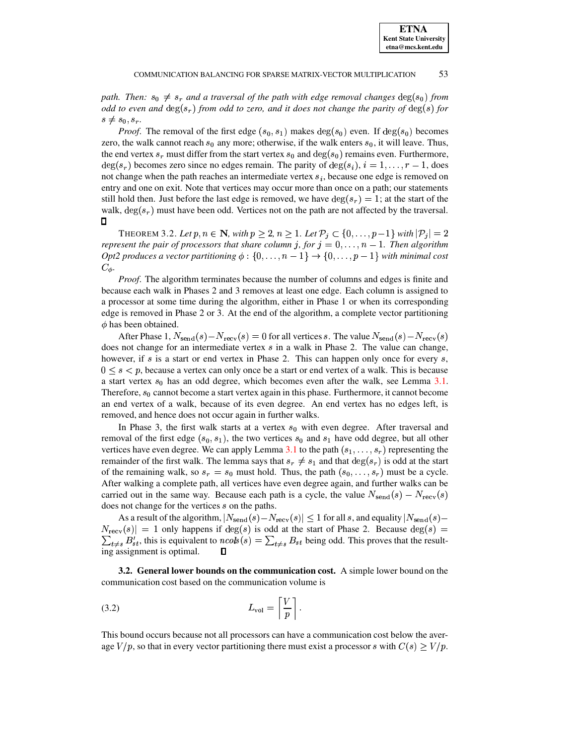path. Then:  $s_0 \neq s_r$  and a traversal of the path with edge removal changes  $\deg(s_0)$  from *odd* to even and  $\deg(s_r)$  from *odd* to zero, and it does not change the parity of  $\deg(s)$  for  $s \neq s_0, s_r$ .

*Proof.* The removal of the first edge  $(s_0, s_1)$  makes  $\deg(s_0)$  even. If  $\deg(s_0)$  becomes zero, the walk cannot reach  $s_0$  any more; otherwise, if the walk enters  $s_0$ , it will leave. Thus, the end vertex  $s_r$  must differ from the start vertex  $s_0$  and  $\deg(s_0)$  remains even. Furthermore,  $\deg(s_r)$  becomes zero since no edges remain. The parity of  $\deg(s_i)$ ,  $i = 1, \ldots, r - 1$ , does not change when the path reaches an intermediate vertex  $s_i$ , because one edge is removed on entry and one on exit. Note that vertices may occur more than once on a path; our statements still hold then. Just before the last edge is removed, we have  $\deg(s_r) = 1$ ; at the start of the walk,  $\deg(s_r)$  must have been odd. Vertices not on the path are not affected by the traversal.  $\Box$ 

THEOREM 3.2. Let  $p, n \in \mathbb{N}$ , with  $p \geq 2$ ,  $n \geq 1$ . Let  $\mathcal{P}_i \subset \{0, \ldots, p-1\}$  with  $|\mathcal{P}_i| = 2$ *represent* the pair of processors that share column j, for  $j = 0, \ldots, n - 1$ . Then algorithm *Opt2* produces a vector partitioning  $\phi$ :  $\{0, \ldots, n-1\}$   $\rightarrow$   $\{0, \ldots, p-1\}$  with minimal cost  $C_{\phi}$ .

*Proof.* The algorithm terminates because the number of columns and edges is finite and because each walk in Phases 2 and 3 removes at least one edge. Each column is assigned to a processor at some time during the algorithm, either in Phase 1 or when its corresponding edge is removed in Phase 2 or 3. At the end of the algorithm, a complete vector partitioning  $\phi$  has been obtained.

After Phase 1,  $N_{\rm send}(s) - N_{\rm rev}(s) = 0$  for all vertices s. The value  $N_{\rm send}(s) - N_{\rm rev}(s)$ does not change for an intermediate vertex  $s$  in a walk in Phase 2. The value can change, however, if  $s$  is a start or end vertex in Phase 2. This can happen only once for every  $s$ ,  $0 \leq s \leq p$ , because a vertex can only once be a start or end vertex of a walk. This is because a start vertex  $s_0$  has an odd degree, which becomes even after the walk, see Lemma  $3.1$ . Therefore,  $s_0$  cannot become a start vertex again in this phase. Furthermore, it cannot become an end vertex of a walk, because of its even degree. An end vertex has no edges left, is removed, and hence does not occur again in further walks.

In Phase 3, the first walk starts at a vertex  $s_0$  with even degree. After traversal and removal of the first edge  $(s_0, s_1)$ , the two vertices  $s_0$  and  $s_1$  have odd degree, but all other vertices have even degree. We can apply Lemma [3.1](#page-5-1) to the path  $(s_1, \ldots, s_r)$  representing the remainder of the first walk. The lemma says that  $s_r \neq s_1$  and that  $\deg(s_r)$  is odd at the start of the remaining walk, so  $s_r = s_0$  must hold. Thus, the path  $(s_0, \ldots, s_r)$  must be a cycle. After walking a complete path, all vertices have even degree again, and further walks can be carried out in the same way. Because each path is a cycle, the value  $N_{\text{send}}(s) - N_{\text{recv}}(s)$ does not change for the vertices s on the paths.

As a result of the algorithm,  $|N_{\text{send}}(s) - N_{\text{recv}}(s)| \le 1$  for all s, and equality  $|N_{\text{send}}(s) N_{\text{recv}}(s) = 1$  only happens if  $\text{deg}(s)$  is odd at the start of Phase 2. Because  $\text{deg}(s) =$  $\sum_{t\neq s} B'_{st}$ , this is equivalent to  $ncols(s) = \sum_{t\neq s} B_{st}$  being odd. This proves that the resulting assignment is optimal.  $\Box$ 

**3.2. General lower bounds on the communication cost.** A simple lower bound on the communication cost based on the communication volume is

$$
L_{\rm vol} = \left\lceil \frac{V}{p} \right\rceil.
$$

This bound occurs because not all processors can have a communication cost below the average  $V/p$ , so that in every vector partitioning there must exist a processor s with  $C(s) \ge V/p$ .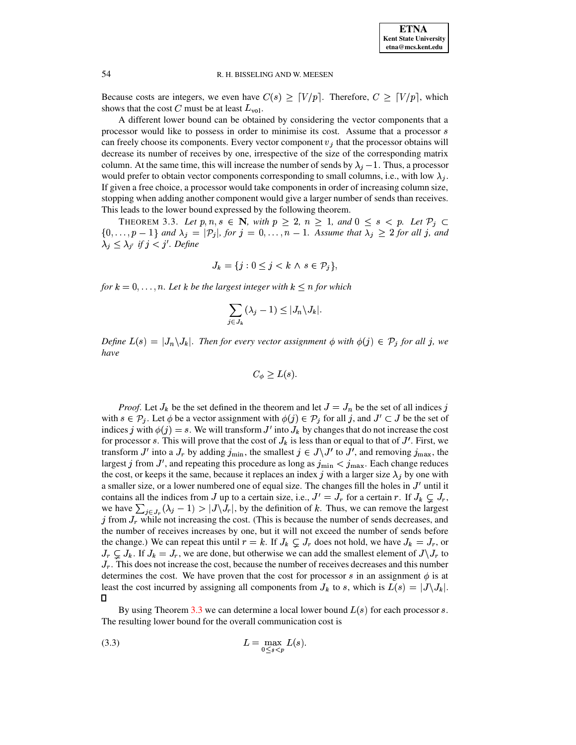

Because costs are integers, we even have  $C(s) \geq [V/p]$ . Therefore,  $C \geq [V/p]$ , which shows that the cost C must be at least  $L_{\text{vol}}$ .

A different lower bound can be obtained by considering the vector components that a processor would like to possess in order to minimise its cost. Assume that a processor s can freely choose its components. Every vector component  $v_j$  that the processor obtains will decrease its number of receives by one, irrespective of the size of the corresponding matrix column. At the same time, this will increase the number of sends by  $\lambda_j - 1$ . Thus, a processor would prefer to obtain vector components corresponding to small columns, i.e., with low  $\lambda_i$ . If given a free choice, a processor would take components in order of increasing column size, stopping when adding another component would give a larger number of sends than receives. This leads to the lower bound expressed by the following theorem.

<span id="page-7-0"></span>THEOREM 3.3. Let  $p, n, s \in \mathbb{N}$ , with  $p \ge 2$ ,  $n \ge 1$ , and  $0 \le s \le p$ . Let  $\mathcal{P}_j \subset$  $\{0,\ldots,p-1\}$  and  $\lambda_j = |\mathcal{P}_j|$ , for  $j = 0,\ldots,n-1$ . Assume that  $\lambda_j \geq 2$  for all j, and  $\lambda_j \leq \lambda_{j'}$  if  $j < j'$ . Define

$$
J_k = \{ j : 0 \le j < k \land s \in \mathcal{P}_j \},
$$

for  $k = 0, \ldots, n$ . Let k be the largest integer with  $k \leq n$  for which

$$
\sum_{j\in J_k} (\lambda_j - 1) \le |J_n \backslash J_k|.
$$

Define  $L(s) = |J_n \setminus J_k|$ . Then for every vector assignment  $\phi$  with  $\phi(j) \in \mathcal{P}_j$  for all j, we have

$$
C_{\phi} \ge L(s).
$$

*Proof.* Let  $J_k$  be the set defined in the theorem and let  $J = J_n$  be the set of all indices j with  $s \in \mathcal{P}_j$ . Let  $\phi$  be a vector assignment with  $\phi(j) \in \mathcal{P}_j$  for all j, and  $J' \subset J$  be the set of indices j with  $\phi(j) = s$ . We will transform J' into  $J_k$  by changes that do not increase the cost for processor s. This will prove that the cost of  $J_k$  is less than or equal to that of J'. First, we transform J' into a  $J_r$  by adding  $j_{\min}$ , the smallest  $j \in J \backslash J'$  to  $J'$ , and removing  $j_{\max}$ , the largest j from J', and repeating this procedure as long as  $j_{\min} < j_{\max}$ . Each change reduces the cost, or keeps it the same, because it replaces an index j with a larger size  $\lambda_j$  by one with a smaller size, or a lower numbered one of equal size. The changes fill the holes in  $J'$  until it contains all the indices from J up to a certain size, i.e.,  $J' = J_r$  for a certain r. If  $J_k \subsetneq J_r$ , we have  $\sum_{j\in J_r} (\lambda_j - 1) > |J\setminus J_r|$ , by the definition of k. Thus, we can remove the largest j from  $J_r$  while not increasing the cost. (This is because the number of sends decreases, and the number of receives increases by one, but it will not exceed the number of sends before the change.) We can repeat this until  $r = k$ . If  $J_k \subsetneq J_r$  does not hold, we have  $J_k = J_r$ , or  $J_r \subsetneq J_k$ . If  $J_k = J_r$ , we are done, but otherwise we can add the smallest element of  $J \setminus J_r$  to  $J_r$ . This does not increase the cost, because the number of receives decreases and this number determines the cost. We have proven that the cost for processor s in an assignment  $\phi$  is at least the cost incurred by assigning all components from  $J_k$  to s, which is  $L(s) = |J \setminus J_k|$ .  $\Box$ 

By using Theorem 3.3 we can determine a local lower bound  $L(s)$  for each processor s. The resulting lower bound for the overall communication cost is

<span id="page-7-1"></span>
$$
(3.3) \t\t\t L = \max_{0 \le s < p} L(s).
$$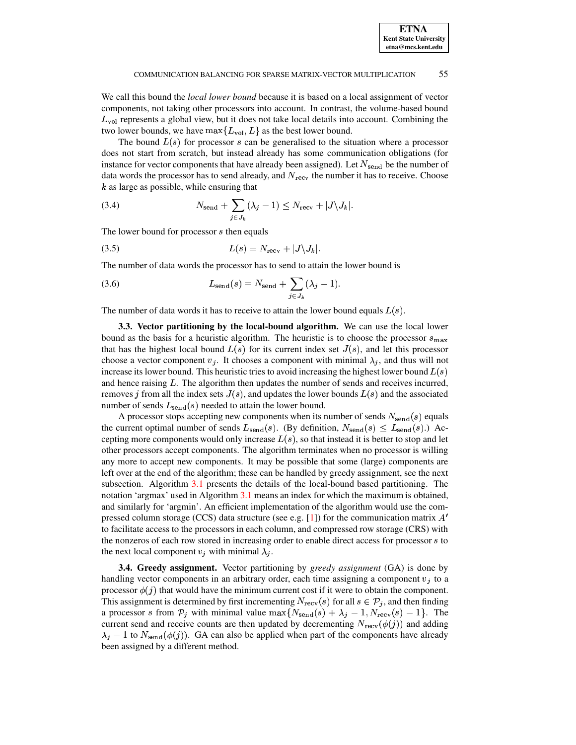We call this bound the *local lower bound* because it is based on a local assignment of vector components, not taking other processors into account. In contrast, the volume-based bound  $L_{\text{vol}}$  represents a global view, but it does not take local details into account. Combining the two lower bounds, we have  $\max\{L_{\text{vol}}, L\}$  as the best lower bound.

The bound  $L(s)$  for processor s can be generalised to the situation where a processor does not start from scratch, but instead already has some communication obligations (for instance for vector components that have already been assigned). Let  $N_{send}$  be the number of data words the processor has to send already, and  $N_{\text{recv}}$  the number it has to receive. Choose  $k$  as large as possible, while ensuring that

(3.4) 
$$
N_{\text{send}} + \sum_{j \in J_k} (\lambda_j - 1) \le N_{\text{recv}} + |J \setminus J_k|.
$$

The lower bound for processor  $s$  then equals

$$
(3.5) \tL(s) = N_{\text{recv}} + |J \backslash J_k|.
$$

The number of data words the processor has to send to attain the lower bound is

(3.6) 
$$
L_{\text{send}}(s) = N_{\text{send}} + \sum_{j \in J_k} (\lambda_j - 1).
$$

<span id="page-8-0"></span>The number of data words it has to receive to attain the lower bound equals  $L(s)$ .

3.3. Vector partitioning by the local-bound algorithm. We can use the local lower bound as the basis for a heuristic algorithm. The heuristic is to choose the processor  $s_{\text{max}}$ that has the highest local bound  $L(s)$  for its current index set  $J(s)$ , and let this processor choose a vector component  $v_j$ . It chooses a component with minimal  $\lambda_j$ , and thus will not increase its lower bound. This heuristic tries to avoid increasing the highest lower bound  $L(s)$ and hence raising  $L$ . The algorithm then updates the number of sends and receives incurred, removes j from all the index sets  $J(s)$ , and updates the lower bounds  $L(s)$  and the associated number of sends  $L_{send}(s)$  needed to attain the lower bound.

A processor stops accepting new components when its number of sends  $N_{\text{send}}(s)$  equals the current optimal number of sends  $L_{send}(s)$ . (By definition,  $N_{send}(s) \leq L_{send}(s)$ .) Accepting more components would only increase  $L(s)$ , so that instead it is better to stop and let other processors accept components. The algorithm terminates when no processor is willing any more to accept new components. It may be possible that some (large) components are left over at the end of the algorithm; these can be handled by greedy assignment, see the next subsection. Algorithm 3.1 presents the details of the local-bound based partitioning. The notation 'argmax' used in Algorithm 3.1 means an index for which the maximum is obtained, and similarly for 'argmin'. An efficient implementation of the algorithm would use the compressed column storage (CCS) data structure (see e.g. [1]) for the communication matrix  $A'$ to facilitate access to the processors in each column, and compressed row storage (CRS) with the nonzeros of each row stored in increasing order to enable direct access for processor  $s$  to the next local component  $v_j$  with minimal  $\lambda_j$ .

**3.4. Greedy assignment.** Vector partitioning by *greedy assignment* (GA) is done by handling vector components in an arbitrary order, each time assigning a component  $v_j$  to a processor  $\phi(j)$  that would have the minimum current cost if it were to obtain the component. This assignment is determined by first incrementing  $N_{\text{recv}}(s)$  for all  $s \in \mathcal{P}_j$ , and then finding a processor s from  $P_j$  with minimal value  $\max\{N_{\text{send}}(s) + \lambda_j - 1, N_{\text{recv}}(s) - 1\}$ . The current send and receive counts are then updated by decrementing  $N_{\text{recv}}(\phi(j))$  and adding  $\lambda_j$  – 1 to  $N_{\rm send}(\phi(j))$ . GA can also be applied when part of the components have already been assigned by a different method.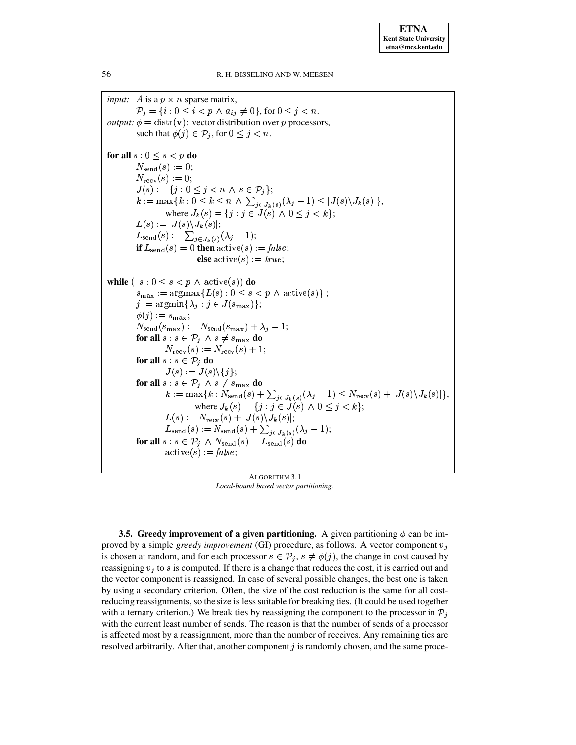**ETNA Kent State University** etna@mcs.kent.edu

*input:* A is a  $p \times n$  sparse matrix,  $P_i = \{i : 0 \le i < p \land a_{ij} \ne 0\}, \text{ for } 0 \le j < n.$ *output:*  $\phi = \text{distr}(\mathbf{v})$ : vector distribution over p processors, such that  $\phi(j) \in \mathcal{P}_j$ , for  $0 \leq j \leq n$ . for all  $s: 0 \leq s < p$  do  $N_{\rm send}(s) := 0;$  $N_{\rm{recv}}(s) := 0;$  $J(s) := \{j : 0 \le j < n \land s \in \mathcal{P}_j\};$  $k := \max\{k: 0 \leq k \leq n \; \wedge \sum_{j \in J_k(s)} (\lambda_j - 1) \leq |J(s) \setminus J_k(s)|\},$  where  $J_k(s) = \{j: j \in J(s) \; \wedge \; 0 \leq j < k\};$  $L(s) := |J(s)\backslash J_k(s)|;$  $L_{send}(s) := \sum_{j \in J_k(s)} (\lambda_j - 1);$ if  $L_{send}(s) = 0$  then  $active(s) := false;$ **else** active(s) := true; while  $(\exists s : 0 \le s \le p \land \text{active}(s))$  do  $s_{\max} := \operatorname{argmax} \{ L(s) : 0 \leq s < p \land \operatorname{active}(s) \};$  $j := \operatorname{argmin} \{ \lambda_j : j \in J(s_{\max}) \};$  $\phi(j) := s_{\text{max}};$  $N_{\rm send}(s_{\rm max}) := N_{\rm send}(s_{\rm max}) + \lambda_j - 1;$ for all  $s : s \in \mathcal{P}_j \land s \neq s_{\max}$  do  $N_{\text{recv}}(s) := N_{\text{recv}}(s) + 1;$ for all  $s : s \in \mathcal{P}_j$  do  $J(s) := J(s) \setminus \{j\};$ for all  $s : s \in \mathcal{P}_j \land s \neq s_{\max}$  do  $k := \max\{k : N_{\text{send}}(s) + \sum_{j \in J_k(s)} (\lambda_j - 1) \le N_{\text{recv}}(s) + |J(s) \setminus J_k(s)|\},\$ where  $J_k(s) = \{j : j \in \tilde{J}(s) \land 0 \le j < k\};$ <br> $L(s) := N_{\text{recv}}(s) + |J(s) \setminus J_k(s)|;$  $L_{send}(s) := N_{send}(s) + \sum_{j \in J_k(s)} (\lambda_j - 1);$ for all  $s : s \in \mathcal{P}_j \land N_{\text{send}}(s) = L_{\text{send}}(s)$  do  $\text{active}(s) := \text{false};$ 

ALGORITHM 3.1 Local-bound based vector partitioning.

<span id="page-9-1"></span><span id="page-9-0"></span>**3.5.** Greedy improvement of a given partitioning. A given partitioning  $\phi$  can be improved by a simple *greedy improvement* (GI) procedure, as follows. A vector component  $v_i$ is chosen at random, and for each processor  $s \in \mathcal{P}_j$ ,  $s \neq \phi(j)$ , the change in cost caused by reassigning  $v_i$  to s is computed. If there is a change that reduces the cost, it is carried out and the vector component is reassigned. In case of several possible changes, the best one is taken by using a secondary criterion. Often, the size of the cost reduction is the same for all costreducing reassignments, so the size is less suitable for breaking ties. (It could be used together with a ternary criterion.) We break ties by reassigning the component to the processor in  $\mathcal{P}_i$ with the current least number of sends. The reason is that the number of sends of a processor is affected most by a reassignment, more than the number of receives. Any remaining ties are resolved arbitrarily. After that, another component  $j$  is randomly chosen, and the same proce-

56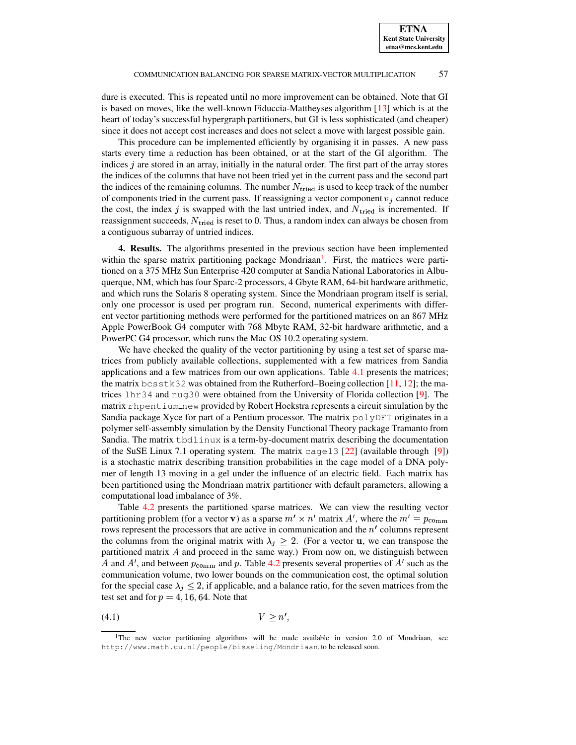dure is executed. This is repeated until no more improvement can be obtained. Note that GI is based on moves, like the well-known Fiduccia-Mattheyses algorithm [\[13\]](#page-18-17) which is at the heart of today's successful hypergraph partitioners, but GI is less sophisticated (and cheaper) since it does not accept cost increases and does not select a move with largest possible gain.

This procedure can be implemented efficiently by organising it in passes. A new pass starts every time a reduction has been obtained, or at the start of the GI algorithm. The indices  $j$  are stored in an array, initially in the natural order. The first part of the array stores the indices of the columns that have not been tried yet in the current pass and the second part the indices of the remaining columns. The number  $N_{\text{tried}}$  is used to keep track of the number of components tried in the current pass. If reassigning a vector component  $v_i$  cannot reduce the cost, the index  $j$  is swapped with the last untried index, and  $N_{\text{tried}}$  is incremented. If reassignment succeeds,  $N_{\text{tried}}$  is reset to 0. Thus, a random index can always be chosen from a contiguous subarray of untried indices.

<span id="page-10-0"></span>**4. Results.** The algorithms presented in the previous section have been implemented within the sparse matrix partitioning package Mondriaan<sup>[1](#page-10-1)</sup>. First, the matrices were partitioned on a 375 MHz Sun Enterprise 420 computer at Sandia National Laboratories in Albuquerque, NM, which has four Sparc-2 processors, 4 Gbyte RAM, 64-bit hardware arithmetic, and which runs the Solaris 8 operating system. Since the Mondriaan program itself is serial, only one processor is used per program run. Second, numerical experiments with different vector partitioning methods were performed for the partitioned matrices on an 867 MHz Apple PowerBook G4 computer with 768 Mbyte RAM, 32-bit hardware arithmetic, and a PowerPC G4 processor, which runs the Mac OS 10.2 operating system.

We have checked the quality of the vector partitioning by using a test set of sparse matrices from publicly available collections, supplemented with a few matrices from Sandia applications and a few matrices from our own applications. Table [4.1](#page-11-0) presents the matrices; the matrix bcsstk32 was obtained from the Rutherford–Boeing collection [\[11,](#page-18-18) [12\]](#page-18-19); the matrices lhr34 and nug30 were obtained from the University of Florida collection [\[9\]](#page-18-20). The matrix rhpentium new provided by Robert Hoekstra represents a circuit simulation by the Sandia package Xyce for part of a Pentium processor. The matrix  $polyDFT$  originates in a polymer self-assembly simulation by the Density Functional Theory package Tramanto from Sandia. The matrix tbdlinux is a term-by-document matrix describing the documentation of the SuSE Linux 7.1 operating system. The matrix  $caqe13$  [\[22\]](#page-18-21) (available through [\[9\]](#page-18-20)) is a stochastic matrix describing transition probabilities in the cage model of a DNA polymer of length 13 moving in a gel under the influence of an electric field. Each matrix has been partitioned using the Mondriaan matrix partitioner with default parameters, allowing a computational load imbalance of 3%.

Table [4.2](#page-12-0) presents the partitioned sparse matrices. We can view the resulting vector partitioning problem (for a vector **v**) as a sparse  $m' \times n'$  matrix A', where the  $m' = p_{\text{comm}}$ rows represent the processors that are active in communication and the  $n'$  columns represent the columns from the original matrix with  $\lambda_j \geq 2$ . (For a vector **u**, we can transpose the partitioned matrix  $A$  and proceed in the same way.) From now on, we distinguish between A and A', and between  $p_{\text{comm}}$  and p. Table [4.2](#page-12-0) presents several properties of A' such as the communication volume, two lower bounds on the communication cost, the optimal solution for the special case  $\lambda_j \leq 2$ , if applicable, and a balance ratio, for the seven matrices from the test set and for  $p = 4, 16, 64$ . Note that

<span id="page-10-2"></span>(4.1)  $V \ge n'$ ,

<span id="page-10-1"></span><sup>&</sup>lt;sup>1</sup>The new vector partitioning algorithms will be made available in version 2.0 of Mondriaan, see http://www.math.uu.nl/people/bisseling/Mondriaan, to be released soon.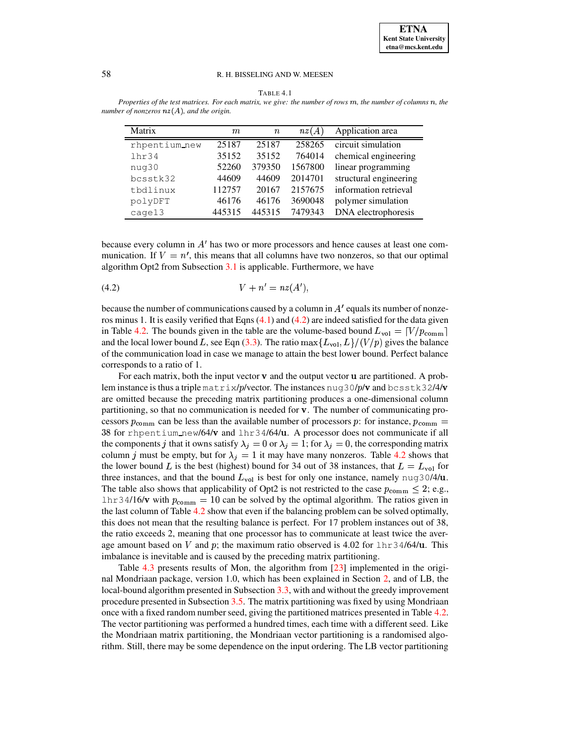| Matrix        | m      | $\it n$ | nz(A)   | Application area       |
|---------------|--------|---------|---------|------------------------|
| rhpentium_new | 25187  | 25187   | 258265  | circuit simulation     |
| 1hr34         | 35152  | 35152   | 764014  | chemical engineering   |
| nug30         | 52260  | 379350  | 1567800 | linear programming     |
| bcsstk32      | 44609  | 44609   | 2014701 | structural engineering |
| tbdlinux      | 112757 | 20167   | 2157675 | information retrieval  |
| polyDFT       | 46176  | 46176   | 3690048 | polymer simulation     |
| cage13        | 445315 | 445315  | 7479343 | DNA electrophoresis    |

<span id="page-11-0"></span>TABLE 4.1 Properties of the test matrices. For each matrix, we give: the number of rows m, the number of columns n, the *number of nonzeros* q¿ <sup>Â</sup> *, and the origin.*

because every column in  $A<sup>t</sup>$  has two or more processors and hence causes at least one communication. If  $V = n'$ , this means that all columns have two nonzeros, so that our optimal algorithm Opt2 from Subsection [3.1](#page-4-0) is applicable. Furthermore, we have

<span id="page-11-1"></span>
$$
(4.2) \t\t\t V + n' = nz(A'),
$$

because the number of communications caused by a column in  $A'$  equals its number of nonzeros minus 1. It is easily verified that Eqns  $(4.1)$  and  $(4.2)$  are indeed satisfied for the data given in Table [4.2.](#page-12-0) The bounds given in the table are the volume-based bound  $L_{\text{vol}} = \lceil V/p_{\text{comm}} \rceil$ and the local lower bound L, see Eqn [\(3.3\)](#page-7-1). The ratio  $\max\{L_{\text{vol}}, L\}/(V/p)$  gives the balance of the communication load in case we manage to attain the best lower bound. Perfect balance corresponds to a ratio of 1.

For each matrix, both the input vector  **and the output vector**  $**u**$  **are partitioned. A prob**lem instance is thus a triple matrix/p/vector. The instances nug30/p/v and bcsstk32/4/v are omitted because the preceding matrix partitioning produces a one-dimensional column partitioning, so that no communication is needed for  $\bf{v}$ . The number of communicating processors  $p_{\text{comm}}$  can be less than the available number of processors p: for instance,  $p_{\text{comm}} =$ 38 for rhpentium new/64/ $\bf v$  and lhr34/64/ $\bf u$ . A processor does not communicate if all the components j that it owns satisfy  $\lambda_j = 0$  or  $\lambda_j = 1$ ; for  $\lambda_j = 0$ , the corresponding matrix column j must be empty, but for  $\lambda_i = 1$  it may have many nonzeros. Table [4.2](#page-12-0) shows that the lower bound L is the best (highest) bound for 34 out of 38 instances, that  $L = L_{\text{vol}}$  for three instances, and that the bound  $L_{\text{vol}}$  is best for only one instance, namely nug30/4/u. The table also shows that applicability of Opt2 is not restricted to the case  $p_{\text{comm}} \leq 2$ ; e.g.,  $\ln z$  4/16/v with  $p_{\text{comm}} = 10$  can be solved by the optimal algorithm. The ratios given in the last column of Table [4.2](#page-12-0) show that even if the balancing problem can be solved optimally, this does not mean that the resulting balance is perfect. For 17 problem instances out of 38, the ratio exceeds 2, meaning that one processor has to communicate at least twice the average amount based on V and p; the maximum ratio observed is  $4.02$  for  $lnr34/64/u$ . This imbalance is inevitable and is caused by the preceding matrix partitioning.

Table [4.3](#page-14-0) presents results of Mon, the algorithm from [\[23\]](#page-18-3) implemented in the original Mondriaan package, version 1.0, which has been explained in Section [2,](#page-2-0) and of LB, the local-bound algorithm presented in Subsection [3.3,](#page-8-0) with and without the greedy improvement procedure presented in Subsection [3.5.](#page-9-1) The matrix partitioning was fixed by using Mondriaan once with a fixed random number seed, giving the partitioned matrices presented in Table [4.2.](#page-12-0) The vector partitioning was performed a hundred times, each time with a different seed. Like the Mondriaan matrix partitioning, the Mondriaan vector partitioning is a randomised algorithm. Still, there may be some dependence on the input ordering. The LB vector partitioning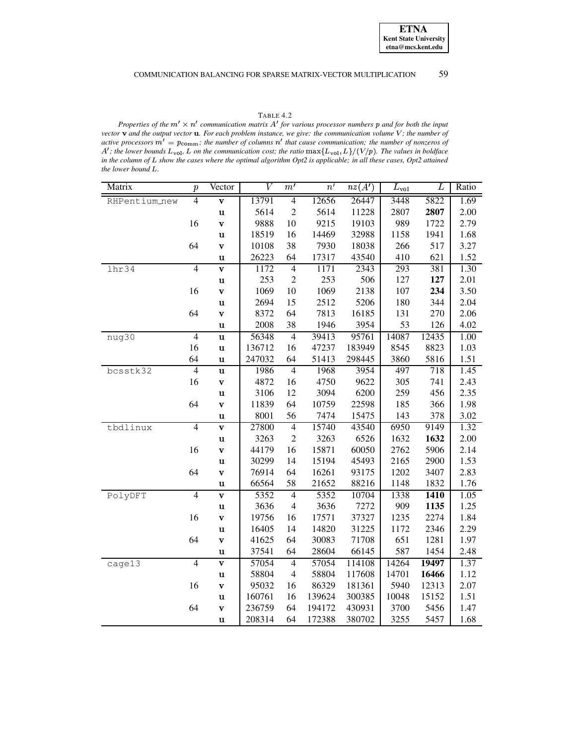## TABLE 4.2

<span id="page-12-0"></span>Properties of the  $m' \times n'$  communication matrix A' for various processor numbers p and for both the input vector  $\bf{v}$  and the output vector  $\bf{u}$ . For each problem instance, we give: the communication volume  $V$ ; the number of active processors  $m' = p_{\text{comm}}$ ; the number of columns  $n'$  that cause communication; the number of nonzeros of A'; the lower bounds  $L_{\text{vol}}$ , L on the communication cost; the ratio  $\max\{L_{\text{vol}}\}$ ,  $L\}/(V/p)$ . The values the lower bound L.

| Matrix        | $\boldsymbol{p}$ | Vector                  | $\overline{V}$ | m'             | $\overline{n'}$ | nz(A') | $L_{\rm vol}$ | L     | Ratio |
|---------------|------------------|-------------------------|----------------|----------------|-----------------|--------|---------------|-------|-------|
| RHPentium_new | 4                | $\mathbf{v}$            | 13791          | $\overline{4}$ | 12656           | 26447  | 3448          | 5822  | 1.69  |
|               |                  | u                       | 5614           | $\overline{c}$ | 5614            | 11228  | 2807          | 2807  | 2.00  |
|               | 16               | $\mathbf{v}$            | 9888           | 10             | 9215            | 19103  | 989           | 1722  | 2.79  |
|               |                  | u                       | 18519          | 16             | 14469           | 32988  | 1158          | 1941  | 1.68  |
|               | 64               | V                       | 10108          | 38             | 7930            | 18038  | 266           | 517   | 3.27  |
|               |                  | u                       | 26223          | 64             | 17317           | 43540  | 410           | 621   | 1.52  |
| 1hr34         | $\overline{4}$   | $\bar{\mathbf{v}}$      | 1172           | $\overline{4}$ | 1171            | 2343   | 293           | 381   | 1.30  |
|               |                  | $\mathbf u$             | 253            | $\overline{2}$ | 253             | 506    | 127           | 127   | 2.01  |
|               | 16               | $\mathbf{v}$            | 1069           | 10             | 1069            | 2138   | 107           | 234   | 3.50  |
|               |                  | $\mathbf u$             | 2694           | 15             | 2512            | 5206   | 180           | 344   | 2.04  |
|               | 64               | $\mathbf{v}$            | 8372           | 64             | 7813            | 16185  | 131           | 270   | 2.06  |
|               |                  | $\mathbf u$             | 2008           | 38             | 1946            | 3954   | 53            | 126   | 4.02  |
| nug30         | $\overline{4}$   | $\mathbf u$             | 56348          | $\overline{4}$ | 39413           | 95761  | 14087         | 12435 | 1.00  |
|               | 16               | $\mathbf u$             | 136712         | 16             | 47237           | 183949 | 8545          | 8823  | 1.03  |
|               | 64               | $\mathbf u$             | 247032         | 64             | 51413           | 298445 | 3860          | 5816  | 1.51  |
| bcsstk32      | $\overline{4}$   | $\mathbf u$             | 1986           | $\overline{4}$ | 1968            | 3954   | 497           | 718   | 1.45  |
|               | 16               | V                       | 4872           | 16             | 4750            | 9622   | 305           | 741   | 2.43  |
|               |                  | $\mathbf u$             | 3106           | 12             | 3094            | 6200   | 259           | 456   | 2.35  |
|               | 64               | $\mathbf{v}$            | 11839          | 64             | 10759           | 22598  | 185           | 366   | 1.98  |
|               |                  | u                       | 8001           | 56             | 7474            | 15475  | 143           | 378   | 3.02  |
| tbdlinux      | $\overline{4}$   | $\mathbf v$             | 27800          | $\overline{4}$ | 15740           | 43540  | 6950          | 9149  | 1.32  |
|               |                  | u                       | 3263           | $\mathfrak{2}$ | 3263            | 6526   | 1632          | 1632  | 2.00  |
|               | 16               | $\mathbf{v}$            | 44179          | 16             | 15871           | 60050  | 2762          | 5906  | 2.14  |
|               |                  | u                       | 30299          | 14             | 15194           | 45493  | 2165          | 2900  | 1.53  |
|               | 64               | $\mathbf{v}$            | 76914          | 64             | 16261           | 93175  | 1202          | 3407  | 2.83  |
|               |                  | u                       | 66564          | 58             | 21652           | 88216  | 1148          | 1832  | 1.76  |
| PolyDFT       | $\overline{4}$   | $\overline{\mathbf{v}}$ | 5352           | $\overline{4}$ | 5352            | 10704  | 1338          | 1410  | 1.05  |
|               |                  | u                       | 3636           | $\overline{4}$ | 3636            | 7272   | 909           | 1135  | 1.25  |
|               | 16               | $\mathbf{v}$            | 19756          | 16             | 17571           | 37327  | 1235          | 2274  | 1.84  |
|               |                  | u                       | 16405          | 14             | 14820           | 31225  | 1172          | 2346  | 2.29  |
|               | 64               | $\mathbf{v}$            | 41625          | 64             | 30083           | 71708  | 651           | 1281  | 1.97  |
|               |                  | $\mathbf u$             | 37541          | 64             | 28604           | 66145  | 587           | 1454  | 2.48  |
| cage13        | $\overline{4}$   | $\mathbf{v}$            | 57054          | $\overline{4}$ | 57054           | 114108 | 14264         | 19497 | 1.37  |
|               |                  | $\mathbf u$             | 58804          | $\overline{4}$ | 58804           | 117608 | 14701         | 16466 | 1.12  |
|               | 16               | V                       | 95032          | 16             | 86329           | 181361 | 5940          | 12313 | 2.07  |
|               |                  | $\mathbf u$             | 160761         | 16             | 139624          | 300385 | 10048         | 15152 | 1.51  |
|               | 64               | $\mathbf{v}$            | 236759         | 64             | 194172          | 430931 | 3700          | 5456  | 1.47  |
|               |                  | $\mathbf u$             | 208314         | 64             | 172388          | 380702 | 3255          | 5457  | 1.68  |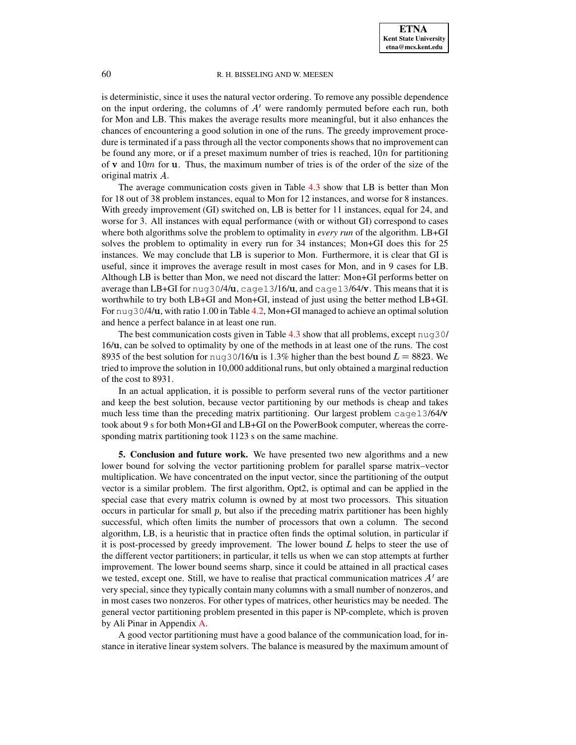is deterministic, since it uses the natural vector ordering. To remove any possible dependence on the input ordering, the columns of  $A<sup>'</sup>$  were randomly permuted before each run, both for Mon and LB. This makes the average results more meaningful, but it also enhances the chances of encountering a good solution in one of the runs. The greedy improvement procedure is terminated if a pass through all the vector components shows that no improvement can be found any more, or if a preset maximum number of tries is reached,  $10n$  for partitioning of **v** and  $10m$  for **u**. Thus, the maximum number of tries is of the order of the size of the original matrix  $A$ .

The average communication costs given in Table [4.3](#page-14-0) show that LB is better than Mon for 18 out of 38 problem instances, equal to Mon for 12 instances, and worse for 8 instances. With greedy improvement (GI) switched on, LB is better for 11 instances, equal for 24, and worse for 3. All instances with equal performance (with or without GI) correspond to cases where both algorithms solve the problem to optimality in *every run* of the algorithm. LB+GI solves the problem to optimality in every run for 34 instances; Mon+GI does this for 25 instances. We may conclude that LB is superior to Mon. Furthermore, it is clear that GI is useful, since it improves the average result in most cases for Mon, and in 9 cases for LB. Although LB is better than Mon, we need not discard the latter: Mon+GI performs better on average than LB+GI for  $\log_3$ 0/4/u,  $\log$ 13/16/u, and  $\log$ 13/64/v. This means that it is worthwhile to try both LB+GI and Mon+GI, instead of just using the better method LB+GI. For nug30/4/ , with ratio 1.00 in Table [4.2,](#page-12-0) Mon+GI managed to achieve an optimalsolution and hence a perfect balance in at least one run.

The best communication costs given in Table [4.3](#page-14-0) show that all problems, except nug30/ 16/ , can be solved to optimality by one of the methods in at least one of the runs. The cost 8935 of the best solution for nug30/16/u is 1.3% higher than the best bound  $L = 8823$ . We tried to improve the solution in 10,000 additional runs, but only obtained a marginal reduction of the cost to 8931.

In an actual application, it is possible to perform several runs of the vector partitioner and keep the best solution, because vector partitioning by our methods is cheap and takes much less time than the preceding matrix partitioning. Our largest problem  $\text{cage13/64/v}$ took about 9 s for both Mon+GI and LB+GI on the PowerBook computer, whereas the corresponding matrix partitioning took 1123 s on the same machine.

**5. Conclusion and future work.** We have presented two new algorithms and a new lower bound for solving the vector partitioning problem for parallel sparse matrix–vector multiplication. We have concentrated on the input vector, since the partitioning of the output vector is a similar problem. The first algorithm, Opt2, is optimal and can be applied in the special case that every matrix column is owned by at most two processors. This situation occurs in particular for small  $p$ , but also if the preceding matrix partitioner has been highly successful, which often limits the number of processors that own a column. The second algorithm, LB, is a heuristic that in practice often finds the optimal solution, in particular if it is post-processed by greedy improvement. The lower bound  $L$  helps to steer the use of the different vector partitioners; in particular, it tells us when we can stop attempts at further improvement. The lower bound seems sharp, since it could be attained in all practical cases we tested, except one. Still, we have to realise that practical communication matrices  $A'$  are very special, since they typically contain many columns with a small number of nonzeros, and in most cases two nonzeros. For other types of matrices, other heuristics may be needed. The general vector partitioning problem presented in this paper is NP-complete, which is proven by Ali Pinar in Appendix [A.](#page-15-0)

A good vector partitioning must have a good balance of the communication load, for instance in iterative linear system solvers. The balance is measured by the maximum amount of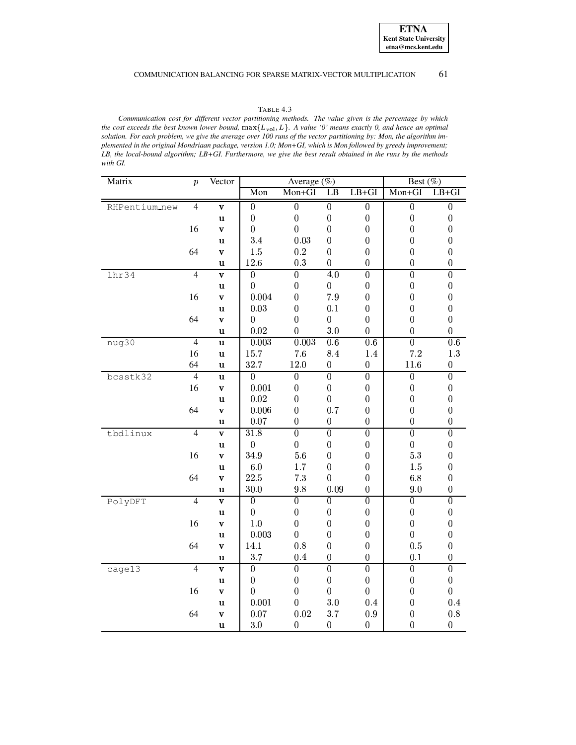## TABLE 4.3

<span id="page-14-0"></span>*Communication cost for different vector partitioning methods. The value given is the percentage by which* the cost exceeds the best known lower bound,  $max{L_{vol}, L}$ . A value '0' means exactly 0, and hence an optimal solution. For each problem, we give the average over 100 runs of the vector partitioning by: Mon, the algorithm im*plemented in the original Mondriaan package, version 1.0; Mon+GI, which is Mon followed by greedy improvement;* LB, the local-bound algorithm; LB+GI. Furthermore, we give the best result obtained in the runs by the methods *with GI.*

| Matrix        | $\boldsymbol{p}$ | Vector                  |                     | Average (%)      | Best $(\%)$      |                  |                  |                  |
|---------------|------------------|-------------------------|---------------------|------------------|------------------|------------------|------------------|------------------|
|               |                  |                         | Mon<br>Mon+GI<br>LB |                  |                  | $LB+GI$          | Mon+GI           | $LB+GI$          |
| RHPentium_new | $\overline{4}$   | $\mathbf{v}$            | $\overline{0}$      | $\overline{0}$   | $\overline{0}$   | $\overline{0}$   | $\overline{0}$   | $\overline{0}$   |
|               |                  | $\mathbf u$             | $\boldsymbol{0}$    | $\boldsymbol{0}$ | $\boldsymbol{0}$ | $\boldsymbol{0}$ | $\boldsymbol{0}$ | $\boldsymbol{0}$ |
|               | 16               | $\mathbf{v}$            | $\overline{0}$      | $\overline{0}$   | $\boldsymbol{0}$ | $\boldsymbol{0}$ | $\overline{0}$   | $\boldsymbol{0}$ |
|               |                  | $\mathbf u$             | 3.4                 | 0.03             | $\boldsymbol{0}$ | $\boldsymbol{0}$ | $\boldsymbol{0}$ | $\boldsymbol{0}$ |
|               | 64               | $\mathbf{V}$            | $1.5\,$             | $\rm 0.2$        | $\overline{0}$   | $\boldsymbol{0}$ | $\boldsymbol{0}$ | $\boldsymbol{0}$ |
|               |                  | $\mathbf u$             | $12.6\,$            | $\rm 0.3$        | $\boldsymbol{0}$ | $\boldsymbol{0}$ | $\boldsymbol{0}$ | $\boldsymbol{0}$ |
| lhr34         | $\overline{4}$   | $\mathbf{v}$            | $\boldsymbol{0}$    | $\overline{0}$   | 4.0              | $\overline{0}$   | $\overline{0}$   | $\overline{0}$   |
|               |                  | $\mathbf u$             | $\boldsymbol{0}$    | $\boldsymbol{0}$ | $\boldsymbol{0}$ | $\boldsymbol{0}$ | $\boldsymbol{0}$ | $\boldsymbol{0}$ |
|               | 16               | $\mathbf{v}$            | 0.004               | $\boldsymbol{0}$ | $7.9\,$          | $\overline{0}$   | $\overline{0}$   | $\boldsymbol{0}$ |
|               |                  | $\mathbf u$             | $0.03\,$            | $\boldsymbol{0}$ | 0.1              | $\boldsymbol{0}$ | $\boldsymbol{0}$ | $\boldsymbol{0}$ |
|               | 64               | $\mathbf{v}$            | $\overline{0}$      | $\overline{0}$   | $\overline{0}$   | $\boldsymbol{0}$ | $\boldsymbol{0}$ | $\boldsymbol{0}$ |
|               |                  | u                       | 0.02                | $\overline{0}$   | 3.0              | $\boldsymbol{0}$ | $\boldsymbol{0}$ | $\boldsymbol{0}$ |
| nug30         | $\overline{4}$   | $\mathbf u$             | 0.003               | 0.003            | 0.6              | $\overline{0.6}$ | $\overline{0}$   | $\overline{0.6}$ |
|               | 16               | $\mathbf u$             | $15.7\,$            | $7.6\,$          | 8.4              | $1.4\,$          | $7.2\,$          | $1.3\,$          |
|               | 64               | $\mathbf u$             | 32.7                | $12.0\,$         | $\boldsymbol{0}$ | $\boldsymbol{0}$ | $11.6\,$         | $\boldsymbol{0}$ |
| bcsstk32      | $\overline{4}$   | $\mathbf u$             | $\overline{0}$      | $\overline{0}$   | $\overline{0}$   | $\overline{0}$   | $\overline{0}$   | $\overline{0}$   |
|               | 16               | $\mathbf{v}$            | 0.001               | $\boldsymbol{0}$ | $\boldsymbol{0}$ | $\boldsymbol{0}$ | $\boldsymbol{0}$ | $\boldsymbol{0}$ |
|               |                  | $\mathbf u$             | $\rm 0.02$          | $\boldsymbol{0}$ | $\overline{0}$   | $\boldsymbol{0}$ | $\boldsymbol{0}$ | $\boldsymbol{0}$ |
|               | 64               | $\mathbf v$             | 0.006               | $\boldsymbol{0}$ | 0.7              | $\boldsymbol{0}$ | $\boldsymbol{0}$ | $\boldsymbol{0}$ |
|               |                  | u                       | $0.07\,$            | $\boldsymbol{0}$ | $\boldsymbol{0}$ | $\boldsymbol{0}$ | $\boldsymbol{0}$ | $\boldsymbol{0}$ |
| tbdlinux      | $\overline{4}$   | $\mathbf{v}$            | 31.8                | $\overline{0}$   | $\overline{0}$   | $\overline{0}$   | $\overline{0}$   | $\overline{0}$   |
|               |                  | $\mathbf u$             | $\boldsymbol{0}$    | $\boldsymbol{0}$ | $\boldsymbol{0}$ | $\boldsymbol{0}$ | $\boldsymbol{0}$ | $\boldsymbol{0}$ |
|               | 16               | $\mathbf{v}$            | 34.9                | 5.6              | $\boldsymbol{0}$ | $\boldsymbol{0}$ | 5.3              | $\boldsymbol{0}$ |
|               |                  | $\mathbf u$             | $6.0\,$             | $1.7\,$          | $\boldsymbol{0}$ | $\overline{0}$   | 1.5              | $\boldsymbol{0}$ |
|               | 64               | $\mathbf{v}$            | $22.5\,$            | 7.3              | $\overline{0}$   | $\boldsymbol{0}$ | 6.8              | $\boldsymbol{0}$ |
|               |                  | $\mathbf u$             | $30.0\,$            | 9.8              | $0.09\,$         | $\boldsymbol{0}$ | 9.0              | $\boldsymbol{0}$ |
| PolyDFT       | $\overline{4}$   | $\mathbf{v}$            | $\boldsymbol{0}$    | $\overline{0}$   | $\overline{0}$   | $\boldsymbol{0}$ | $\overline{0}$   | $\overline{0}$   |
|               |                  | $\mathbf u$             | $\boldsymbol{0}$    | $\boldsymbol{0}$ | $\boldsymbol{0}$ | $\boldsymbol{0}$ | $\boldsymbol{0}$ | $\boldsymbol{0}$ |
|               | 16               | $\mathbf{v}$            | $1.0\,$             | $\boldsymbol{0}$ | $\boldsymbol{0}$ | $\boldsymbol{0}$ | $\boldsymbol{0}$ | $\boldsymbol{0}$ |
|               |                  | $\mathbf u$             | 0.003               | $\boldsymbol{0}$ | $\boldsymbol{0}$ | $\boldsymbol{0}$ | $\boldsymbol{0}$ | $\boldsymbol{0}$ |
|               | 64               | $\mathbf{v}$            | 14.1                | 0.8              | $\boldsymbol{0}$ | $\boldsymbol{0}$ | 0.5              | $\boldsymbol{0}$ |
|               |                  | $\mathbf u$             | 3.7                 | 0.4              | $\boldsymbol{0}$ | $\boldsymbol{0}$ | 0.1              | $\boldsymbol{0}$ |
| cage13        | $\overline{4}$   | $\overline{\textbf{v}}$ | $\overline{0}$      | $\overline{0}$   | $\overline{0}$   | $\overline{0}$   | $\overline{0}$   | $\overline{0}$   |
|               |                  | u                       | $\boldsymbol{0}$    | $\boldsymbol{0}$ | $\boldsymbol{0}$ | $\boldsymbol{0}$ | $\boldsymbol{0}$ | $\boldsymbol{0}$ |
|               | 16               | $\mathbf v$             | $\boldsymbol{0}$    | $\boldsymbol{0}$ | $\boldsymbol{0}$ | $\boldsymbol{0}$ | $\boldsymbol{0}$ | $\boldsymbol{0}$ |
|               |                  | $\mathbf u$             | 0.001               | $\boldsymbol{0}$ | 3.0              | $\rm 0.4$        | $\boldsymbol{0}$ | $\rm 0.4$        |
|               | 64               | $\mathbf{v}$            | $0.07\,$            | $\rm 0.02$       | 3.7              | $\rm 0.9$        | $\boldsymbol{0}$ | $\rm 0.8$        |
|               |                  | $\mathbf u$             | 3.0                 | $\boldsymbol{0}$ | $\boldsymbol{0}$ | $\boldsymbol{0}$ | $\boldsymbol{0}$ | $\boldsymbol{0}$ |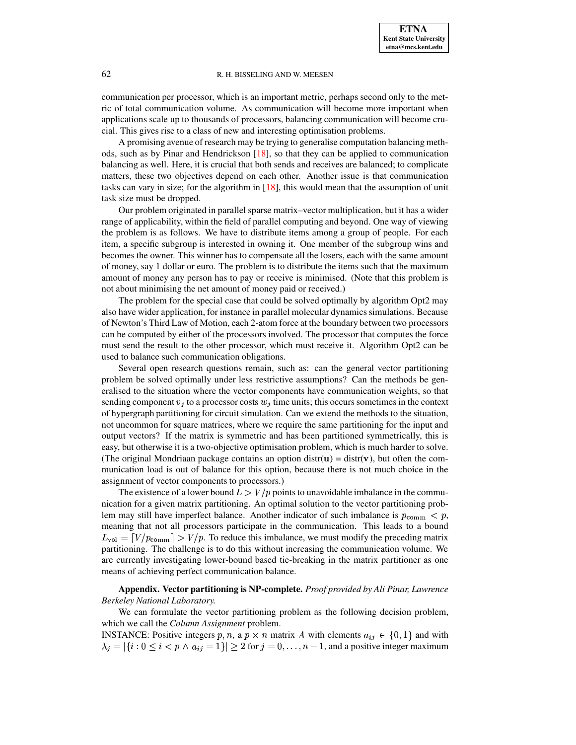communication per processor, which is an important metric, perhaps second only to the metric of total communication volume. As communication will become more important when applications scale up to thousands of processors, balancing communication will become crucial. This gives rise to a class of new and interesting optimisation problems.

A promising avenue of research may be trying to generalise computation balancing methods, such as by Pinar and Hendrickson  $[18]$ , so that they can be applied to communication balancing as well. Here, it is crucial that both sends and receives are balanced; to complicate matters, these two objectives depend on each other. Another issue is that communication tasks can vary in size; for the algorithm in  $[18]$ , this would mean that the assumption of unit task size must be dropped.

Our problem originated in parallel sparse matrix–vector multiplication, but it has a wider range of applicability, within the field of parallel computing and beyond. One way of viewing the problem is as follows. We have to distribute items among a group of people. For each item, a specific subgroup is interested in owning it. One member of the subgroup wins and becomes the owner. This winner has to compensate all the losers, each with the same amount of money, say 1 dollar or euro. The problem is to distribute the items such that the maximum amount of money any person has to pay or receive is minimised. (Note that this problem is not about minimising the net amount of money paid or received.)

The problem for the special case that could be solved optimally by algorithm Opt2 may also have wider application, for instance in parallel molecular dynamicssimulations. Because of Newton's Third Law of Motion, each 2-atom force at the boundary between two processors can be computed by either of the processors involved. The processor that computes the force must send the result to the other processor, which must receive it. Algorithm Opt2 can be used to balance such communication obligations.

Several open research questions remain, such as: can the general vector partitioning problem be solved optimally under less restrictive assumptions? Can the methods be generalised to the situation where the vector components have communication weights, so that sending component  $v_j$  to a processor costs  $w_j$  time units; this occurs sometimes in the context of hypergraph partitioning for circuit simulation. Can we extend the methods to the situation, not uncommon for square matrices, where we require the same partitioning for the input and output vectors? If the matrix is symmetric and has been partitioned symmetrically, this is easy, but otherwise it is a two-objective optimisation problem, which is much harder to solve. (The original Mondriaan package contains an option distr( $\mathbf{u}$ ) = distr( $\mathbf{v}$ ), but often the communication load is out of balance for this option, because there is not much choice in the assignment of vector components to processors.)

The existence of a lower bound  $L > V/p$  points to unavoidable imbalance in the communication for a given matrix partitioning. An optimal solution to the vector partitioning problem may still have imperfect balance. Another indicator of such imbalance is  $p_{\text{comm}} < p$ , meaning that not all processors participate in the communication. This leads to a bound  $L_{\text{vol}} = [V/p_{\text{comm}}] > V/p$ . To reduce this imbalance, we must modify the preceding matrix partitioning. The challenge is to do this without increasing the communication volume. We are currently investigating lower-bound based tie-breaking in the matrix partitioner as one means of achieving perfect communication balance.

<span id="page-15-0"></span>**Appendix. Vector partitioning is NP-complete.** *Proof provided by Ali Pinar, Lawrence Berkeley National Laboratory.*

We can formulate the vector partitioning problem as the following decision problem, which we call the *Column Assignment* problem.

**INSTANCE:** Positive integers p, n, a p  $\times$  n matrix A with elements  $a_{ij} \in \{0, 1\}$  and with  $\lambda_j = |\{i : 0 \le i < p \land a_{ij} = 1\}| \ge 2$  for  $j = 0, \ldots, n-1$ , and a positive integer maximum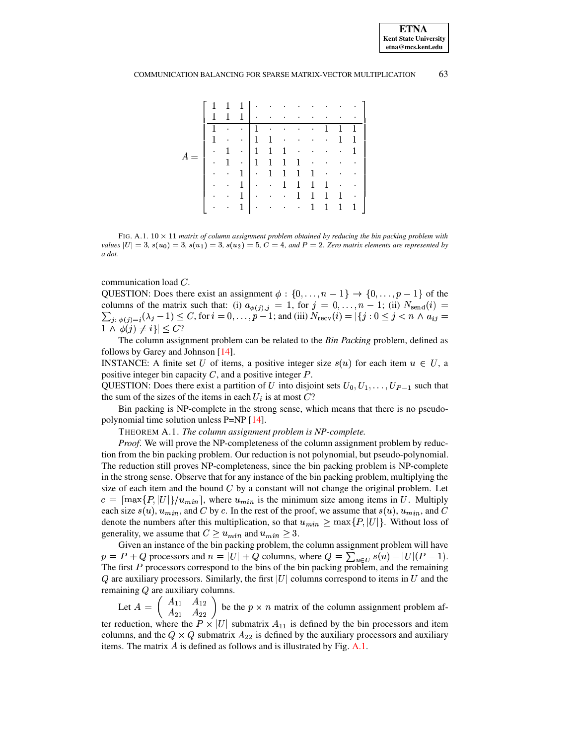| 1         | $\mathbf{1}$            |              |                 | $1 \cdot \cdot \cdot$           | $\bullet$                   |              |                          |                  |                  |           |
|-----------|-------------------------|--------------|-----------------|---------------------------------|-----------------------------|--------------|--------------------------|------------------|------------------|-----------|
| 1         | $\mathbf 1$             | 1            |                 | the contract of the contract of |                             | $\bullet$    | $\bullet$                | $\bullet$        | $\bullet$        | ٠         |
| 1         | $\bullet$               | $\bullet$    | $1 \cdot$       |                                 | $\bullet$                   | $\bullet$    | <b>Contract Contract</b> | 1                |                  |           |
| 1         | $\bullet$               |              |                 | $\cdot$   1   1 $\cdot$         |                             | $\bullet$    | $\bullet$                | $\sim 100$       | 1                | -1        |
| $\bullet$ | $\mathbf{1}$            |              | $\cdot$   1   1 |                                 | $\mathbf{1}$                | $\sim$       | $\bullet$                | $\sim$           | $\sim$ 100 $\pm$ | -1        |
| $\bullet$ | 1                       |              |                 | $\cdot$   1   1                 |                             | $\mathbf 1$  | $\sim$ $\sim$            | $\bullet$        | $\bullet$        | ٠         |
| $\bullet$ | $\sim 100$ km s $^{-1}$ |              |                 | $1 \cdot 111$                   |                             |              | 1                        | $\sim$ $\bullet$ | $\sim$ 100 $\pm$ | $\bullet$ |
| $\bullet$ | $\sim$                  |              |                 | $1 \cdot \cdot \cdot 1$         |                             | $\mathbf{1}$ | 1                        | 1                | $\sim$           | $\bullet$ |
| $\bullet$ | $\sim$                  | 1            | $\mathbf{1}$    |                                 | $\mathcal{A}=\{1,2,3,4,5\}$ | -1           | 1                        | $\mathbf 1$      | 1                | $\bullet$ |
| $\bullet$ | $\sim$                  | $\mathbf{1}$ | $\sim 10^{-11}$ |                                 | <b>CALCULATION</b>          |              | 1                        | 1                | 1                | 1         |

<span id="page-16-0"></span>FIG. A.1.  $10 \times 11$  matrix of column assignment problem obtained by reducing the bin packing problem with *values*  $|U| = 3$ ,  $s(u_0) = 3$ ,  $s(u_1) = 3$ ,  $s(u_2) = 5$ ,  $C = 4$ , and  $P = 2$ . Zero matrix elements are represented by *a dot.*

communication load  $C$ .

QUESTION: Does there exist an assignment  $\phi : \{0, \ldots, n-1\} \rightarrow \{0, \ldots, p-1\}$  of the columns of the matrix such that: (i)  $a_{\phi(j), j} = 1$ , for  $j = 0, \ldots, n-1$ ; (ii)  $N_{send}(i) =$  $\sum_{i: \phi(i)=i} (\lambda_i - 1) \le C$ , for  $i = 0, \ldots, p-1$ ; and (iii)  $N_{\text{recv}}(i) = |\{j: 0 \le j < n \land a_{ij} = 0\}|$  $1 \wedge \phi(j) \neq i \} \leq C$ ?

The column assignment problem can be related to the *Bin Packing* problem, defined as follows by Garey and Johnson [\[14\]](#page-18-22).

**INSTANCE:** A finite set U of items, a positive integer size  $s(u)$  for each item  $u \in U$ , a positive integer bin capacity  $C$ , and a positive integer  $P$ .

QUESTION: Does there exist a partition of U into disjoint sets  $U_0, U_1, \ldots, U_{P-1}$  such that the sum of the sizes of the items in each  $U_i$  is at most  $C$ ?

Bin packing is NP-complete in the strong sense, which means that there is no pseudopolynomial time solution unless P=NP [\[14\]](#page-18-22).

THEOREM A.1. *The column assignment problem is NP-complete.*

*Proof.* We will prove the NP-completeness of the column assignment problem by reduction from the bin packing problem. Our reduction is not polynomial, but pseudo-polynomial. The reduction still proves NP-completeness, since the bin packing problem is NP-complete in the strong sense. Observe that for any instance of the bin packing problem, multiplying the size of each item and the bound  $C$  by a constant will not change the original problem. Let  $c = \lceil \max\{P, |U|\} / u_{min} \rceil$ , where  $u_{min}$  is the minimum size among items in U. Multiply each size  $s(u)$ ,  $u_{min}$ , and C by c. In the rest of the proof, we assume that  $s(u)$ ,  $u_{min}$ , and C denote the numbers after this multiplication, so that  $u_{min} \ge \max\{P, |U|\}$ . Without loss of generality, we assume that  $C \ge u_{min}$  and  $u_{min} \ge 3$ .

Given an instance of the bin packing problem, the column assignment problem will have  $p = P + Q$  processors and  $n = |U| + Q$  columns, where  $Q = \sum_{u \in U} s(u) - |U|(P - 1)$ . The first  $P$  processors correspond to the bins of the bin packing problem, and the remaining  $Q$  are auxiliary processors. Similarly, the first  $|U|$  columns correspond to items in  $U$  and the remaining  $Q$  are auxiliary columns.

Let  $A = \begin{pmatrix} A_{11} & A_{12} \\ A_{21} & A_{22} \end{pmatrix}$  be the  $p \times n$  matrix of the column assignment problem after reduction, where the  $P \times |U|$  submatrix  $A_{11}$  is defined by the bin processors and item columns, and the  $Q \times Q$  submatrix  $A_{22}$  is defined by the auxiliary processors and auxiliary items. The matrix  $A$  is defined as follows and is illustrated by Fig. [A.1.](#page-16-0)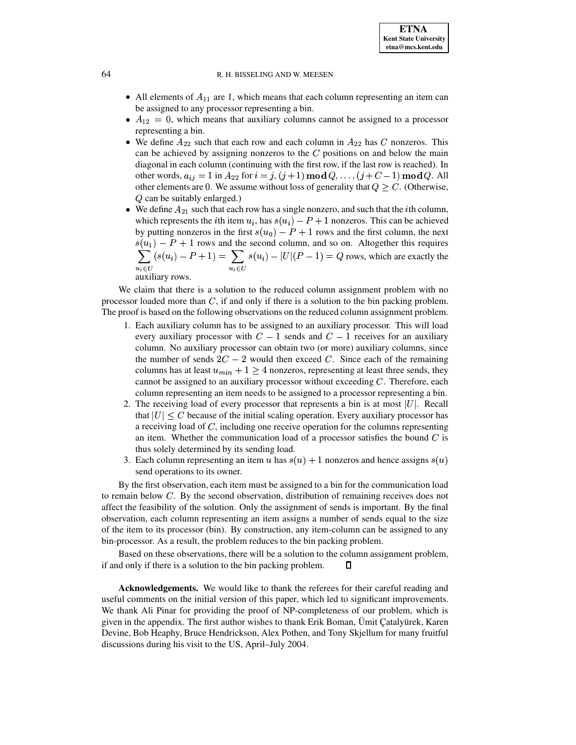• All elements of  $A_{11}$  are 1, which means that each column representing an item can be assigned to any processor representing a bin.

**ETNA Kent State University etna@mcs.kent.edu**

- $A_{12} = 0$ , which means that auxiliary columns cannot be assigned to a processor representing a bin.
- We define  $A_{22}$  such that each row and each column in  $A_{22}$  has C nonzeros. This can be achieved by assigning nonzeros to the  $C$  positions on and below the main diagonal in each column (continuing with the first row, if the last row is reached). In other words,  $a_{ij} = 1$  in  $A_{22}$  for  $i = j, (j + 1) \text{ mod } Q, \ldots, (j + C - 1) \text{ mod } Q$ . All other elements are 0. We assume without loss of generality that  $Q > C$ . (Otherwise,  $Q$  can be suitably enlarged.)
- We define  $A_{21}$  such that each row has a single nonzero, and such that the *i*th column, which represents the *i*th item  $u_i$ , has  $s(u_i) - P + 1$  nonzeros. This can be achieved by putting nonzeros in the first  $s(u_0) - P + 1$  rows and the first column, the next  $s(u_1) - P + 1$  rows and the second column, and so on. Altogether this requires  $\sum_{i} |s(u_i) - P + 1| = \sum_{i} |s(u_i)|$  $\overline{a}$  $(s(u_i) - P + 1) = \sum$  $\overline{a}$  $s(u_i) - |U|(P - 1) = Q$  rows, which are exactly the auxiliary rows.

We claim that there is a solution to the reduced column assignment problem with no processor loaded more than  $C$ , if and only if there is a solution to the bin packing problem. The proof is based on the following observations on the reduced column assignment problem.

- 1. Each auxiliary column has to be assigned to an auxiliary processor. This will load every auxiliary processor with  $C - 1$  sends and  $C - 1$  receives for an auxiliary column. No auxiliary processor can obtain two (or more) auxiliary columns, since the number of sends  $2C - 2$  would then exceed C. Since each of the remaining columns has at least  $u_{min} + 1 \ge 4$  nonzeros, representing at least three sends, they cannot be assigned to an auxiliary processor without exceeding  $C$ . Therefore, each column representing an item needs to be assigned to a processor representing a bin.
- 2. The receiving load of every processor that represents a bin is at most  $|U|$ . Recall that  $|U| \leq C$  because of the initial scaling operation. Every auxiliary processor has a receiving load of  $C$ , including one receive operation for the columns representing an item. Whether the communication load of a processor satisfies the bound  $C$  is thus solely determined by its sending load.
- 3. Each column representing an item u has  $s(u) + 1$  nonzeros and hence assigns  $s(u)$ send operations to its owner.

By the first observation, each item must be assigned to a bin for the communication load to remain below  $C$ . By the second observation, distribution of remaining receives does not affect the feasibility of the solution. Only the assignment of sends is important. By the final observation, each column representing an item assigns a number of sends equal to the size of the item to its processor (bin). By construction, any item-column can be assigned to any bin-processor. As a result, the problem reduces to the bin packing problem.

Based on these observations, there will be a solution to the column assignment problem, if and only if there is a solution to the bin packing problem. 0

**Acknowledgements.** We would like to thank the referees for their careful reading and useful comments on the initial version of this paper, which led to significant improvements. We thank Ali Pinar for providing the proof of NP-completeness of our problem, which is given in the appendix. The first author wishes to thank Erik Boman, Ümit Catalyurek, Karen Devine, Bob Heaphy, Bruce Hendrickson, Alex Pothen, and Tony Skjellum for many fruitful discussions during his visit to the US, April–July 2004.